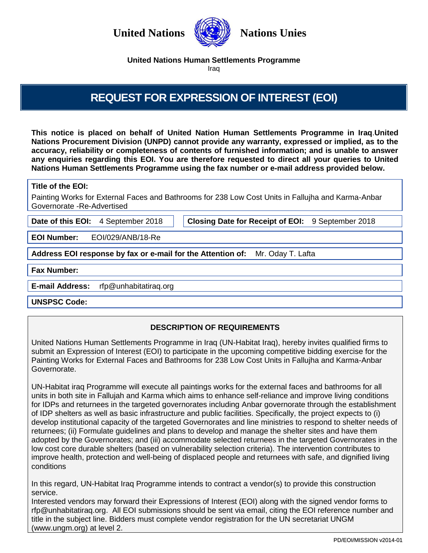United Nations **Waship Nations Unies** 



<span id="page-0-0"></span>**United Nations Human Settlements Programme**

<span id="page-0-1"></span>Iraq

# **REQUEST FOR EXPRESSION OF INTEREST (EOI)**

**This notice is placed on behalf of United Nation Human Settlements Programme in Iraq**.**United Nations Procurement Division (UNPD) cannot provide any warranty, expressed or implied, as to the accuracy, reliability or completeness of contents of furnished information; and is unable to answer any enquiries regarding this EOI. You are therefore requested to direct all your queries to [United](#page-0-0)  [Nations Human Settlements](#page-0-0) Programme using the fax number or e-mail address provided below.**

### **Title of the EOI:**

<span id="page-0-5"></span>Painting Works for External Faces and Bathrooms for 238 Low Cost Units in Fallujha and Karma-Anbar Governorate -Re-Advertised

**Date of this EOI:** 4 September 2018 **Closing Date for Receipt of EOI:** 9 September 2018

<span id="page-0-3"></span>**EOI Number:** EOI/029/ANB/18-Re

**Address EOI response by fax or e-mail for the Attention of:** Mr. Oday T. Lafta

<span id="page-0-4"></span>**Fax Number:**

**E-mail Address:** rfp@unhabitatiraq.org

**UNSPSC Code:**

## <span id="page-0-2"></span>**DESCRIPTION OF REQUIREMENTS**

United Nations Human Settlements Programme in Iraq (UN-Habitat Iraq), hereby invites qualified firms to submit an Expression of Interest (EOI) to participate in the upcoming competitive bidding exercise for the Painting Works for External Faces and Bathrooms for 238 Low Cost Units in Fallujha and Karma-Anbar Governorate.

UN-Habitat iraq Programme will execute all paintings works for the external faces and bathrooms for all units in both site in Fallujah and Karma which aims to enhance self-reliance and improve living conditions for IDPs and returnees in the targeted governorates including Anbar governorate through the establishment of IDP shelters as well as basic infrastructure and public facilities. Specifically, the project expects to (i) develop institutional capacity of the targeted Governorates and line ministries to respond to shelter needs of returnees; (ii) Formulate guidelines and plans to develop and manage the shelter sites and have them adopted by the Governorates; and (iii) accommodate selected returnees in the targeted Governorates in the low cost core durable shelters (based on vulnerability selection criteria). The intervention contributes to improve health, protection and well-being of displaced people and returnees with safe, and dignified living conditions

In this regard, UN-Habitat Iraq Programme intends to contract a vendor(s) to provide this construction service.

Interested vendors may forward their Expressions of Interest (EOI) along with the signed vendor forms to rfp@unhabitatiraq.org. All EOI submissions should be sent via email, citing the EOI reference number and title in the subject line. Bidders must complete vendor registration for the UN secretariat UNGM (www.ungm.org) at level 2.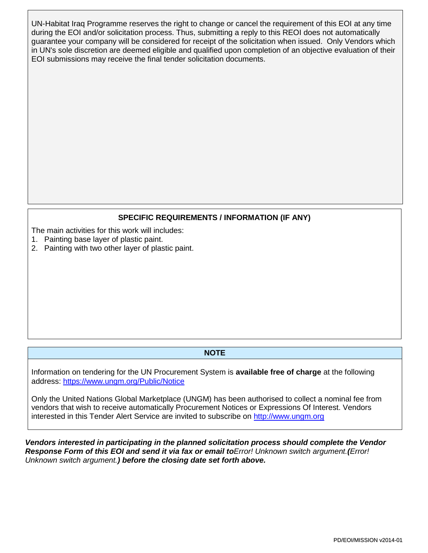UN-Habitat Iraq Programme reserves the right to change or cancel the requirement of this EOI at any time during the EOI and/or solicitation process. Thus, submitting a reply to this REOI does not automatically guarantee your company will be considered for receipt of the solicitation when issued. Only Vendors which in UN's sole discretion are deemed eligible and qualified upon completion of an objective evaluation of their EOI submissions may receive the final tender solicitation documents.

## **SPECIFIC REQUIREMENTS / INFORMATION (IF ANY)**

The main activities for this work will includes:

- 1. Painting base layer of plastic paint.
- 2. Painting with two other layer of plastic paint.

# **NOTE**

Information on tendering for the UN Procurement System is **available free of charge** at the following address:<https://www.ungm.org/Public/Notice>

Only the United Nations Global Marketplace (UNGM) has been authorised to collect a nominal fee from vendors that wish to receive automatically Procurement Notices or Expressions Of Interest. Vendors interested in this Tender Alert Service are invited to subscribe on [http://www.ungm.org](http://www.ungm.org/)

*Vendors interested in participating in the planned solicitation process should complete the Vendor Response Form of this EOI and send it via fax or email to[Error! Unknown switch argument.](#page-0-0)([Error!](#page-0-1)  [Unknown switch argument.](#page-0-1)) before the closing date set forth above.*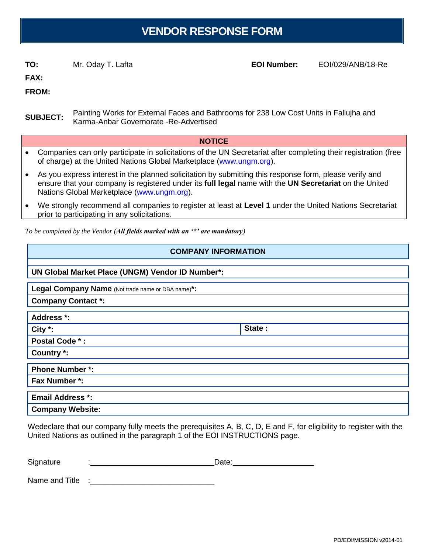# **VENDOR RESPONSE FORM**

**TO:** [Mr. Oday T. Lafta](#page-0-2) **EOI Number:** [EOI/029/ANB/18-Re](#page-0-3)

**FAX:**

**FROM:**

**SUBJECT:** [Painting Works for External Faces and Bathrooms for 238 Low Cost Units in Fallujha and](#page-0-5)  [Karma-Anbar Governorate -Re-Advertised](#page-0-5)

- **NOTICE** • Companies can only participate in solicitations of the UN Secretariat after completing their registration (free of charge) at the United Nations Global Marketplace [\(www.ungm.org\)](http://www.ungm.org/).
- As you express interest in the planned solicitation by submitting this response form, please verify and ensure that your company is registered under its **full legal** name with the **UN Secretariat** on the United Nations Global Marketplace [\(www.ungm.org\)](http://www.ungm.org/).
- We strongly recommend all companies to register at least at **Level 1** under the United Nations Secretariat prior to participating in any solicitations.

*To be completed by the Vendor (All fields marked with an '\*' are mandatory)*

### **COMPANY INFORMATION**

**Legal Company Name** (Not trade name or DBA name)**\*:**

**Company Contact \*:**

**Address \*:**

**City \*: State : State** :

**Postal Code \* :**

**Country \*:**

| <b>Phone Number *:</b>  |  |
|-------------------------|--|
| <b>Fax Number *:</b>    |  |
|                         |  |
| <b>Email Address *:</b> |  |
| <b>Company Website:</b> |  |

Wedeclare that our company fully meets the prerequisites A, B, C, D, E and F, for eligibility to register with the United Nations as outlined in the paragraph 1 of the EOI INSTRUCTIONS page.

| Signature |  | ate: |
|-----------|--|------|
|-----------|--|------|

Name and Title :